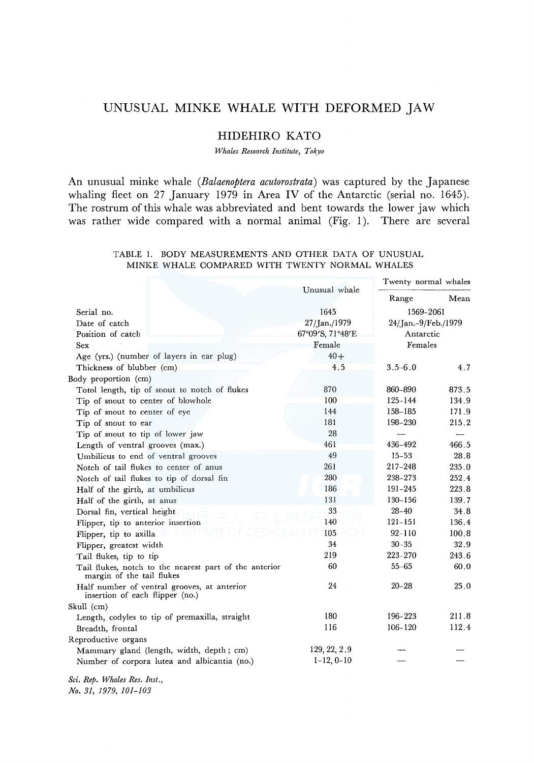# UNUSUAL MINKE WHALE WITH DEFORMED JAW

## HIDEHIRO KATO

*Whales Research Institute, Tokyo* 

An unusual minke whale *(Balaenoptera acutorostrata)* was captured by the Japanese whaling fleet on 27 January 1979 in Area IV of the Antarctic (serial no. 1645). The rostrum of this whale was abbreviated and bent towards the lower jaw which was rather wide compared with a normal animal (Fig. 1). There are several

|                                                                                     | Unusual whale    | Twenty normal whales             |       |
|-------------------------------------------------------------------------------------|------------------|----------------------------------|-------|
|                                                                                     |                  | Range                            | Mean  |
| Serial no.                                                                          | 1645             | 1569-2061                        |       |
| Date of catch                                                                       | 27/Jan./1979     | 24/Jan.-9/Feb./1979<br>Antarctic |       |
| Position of catch                                                                   | 67°09'S, 71°48'E |                                  |       |
| Sex                                                                                 | Female           | Females                          |       |
| Age (yrs.) (number of layers in ear plug)                                           | $40+$            |                                  |       |
| Thickness of blubber (cm)                                                           | 4.5              | $3.5 - 6.0$                      | 4.7   |
| Body proportion (cm)                                                                |                  |                                  |       |
| Totol length, tip of snout to notch of flukes                                       | 870              | 860-890                          | 873.5 |
| Tip of snout to center of blowhole                                                  | 100              | 125-144                          | 134.9 |
| Tip of snout to center of eye                                                       | 144              | 158-185                          | 171.9 |
| Tip of snout to ear                                                                 | 181              | 198-230                          | 215.2 |
| Tip of snout to tip of lower jaw                                                    | 28               |                                  |       |
| Length of ventral grooves (max.)                                                    | 461              | 436-492                          | 466.5 |
| Umbilicus to end of ventral grooves                                                 | 49               | $15 - 53$                        | 28.8  |
| Notch of tail flukes to center of anus                                              | 261              | 217-248                          | 235.0 |
| Notch of tail flukes to tip of dorsal fin                                           | 280              | 238-273                          | 252.4 |
| Half of the girth, at umbilicus                                                     | 186              | 191-245                          | 223.8 |
| Half of the girth, at anus                                                          | 131              | $130 - 156$                      | 139.7 |
| Dorsal fin, vertical height                                                         | 33               | $28 - 40$                        | 34.8  |
| Flipper, tip to anterior insertion                                                  | 140              | $121 - 151$                      | 136.4 |
| Flipper, tip to axilla                                                              | 105              | $92 - 110$                       | 100.8 |
| Flipper, greatest width                                                             | 34               | $30 - 35$                        | 32.9  |
| Tail flukes, tip to tip                                                             | 219              | $223 - 270$                      | 243.6 |
| Tail flukes, notch to the nearest part of the anterior<br>margin of the tail flukes | 60               | $55 - 65$                        | 60.0  |
| Half number of ventral grooves, at anterior<br>insertion of each flipper (no.)      | 24               | $20 - 28$                        | 25.0  |
| Skull (cm)                                                                          |                  |                                  |       |
| Length, codyles to tip of premaxilla, straight                                      | 180              | 196-223                          | 211.8 |
| Breadth, frontal                                                                    | 116              | $106 - 120$                      | 112.4 |
| Reproductive organs                                                                 |                  |                                  |       |
| Mammary gland (length, width, depth; cm)                                            | 129, 22, 2.9     |                                  |       |
| Number of corpora lutea and albicantia (no.)                                        | $1-12, 0-10$     |                                  |       |

### TABLE 1. BODY MEASUREMENTS AND OTHER DATA OF UNUSUAL MINKE WHALE COMPARED WITH TWENTY NORMAL WHALES

*Sci. Rep. Whales Res. Inst.,* 

*No. 31, 1979, 101-103*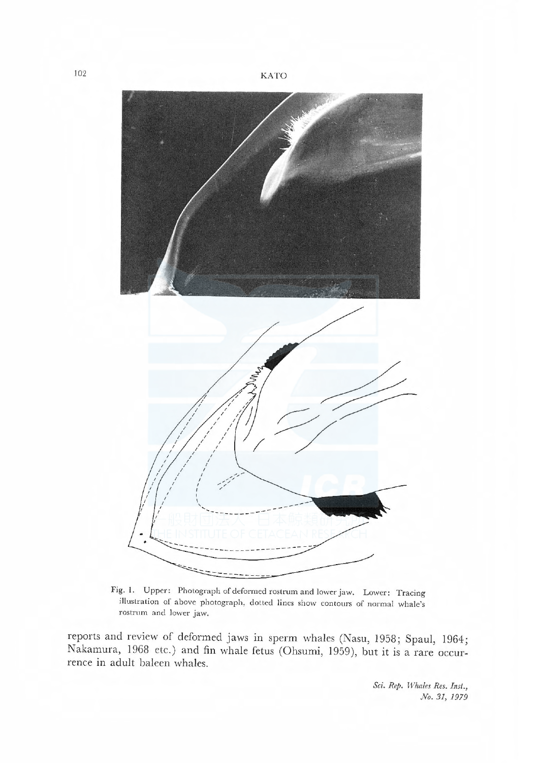

Fig. 1. Upper: Photograph of deformed rostrum and lower jaw. Lower: Tracing illustration of above photograph, dotted lines show contours of normal whale's rostrum and lower jaw.

reports and review of deformed jaws in sperm whales (Nasu, 1958; Spaul, 1964; Nakamura, 1968 etc.) and fin whale fetus (Ohsumi, 1959), but it is a rare occurrence in adult baleen whales.

> Sci. Rep. Whales Res. Inst., No. 31, 1979